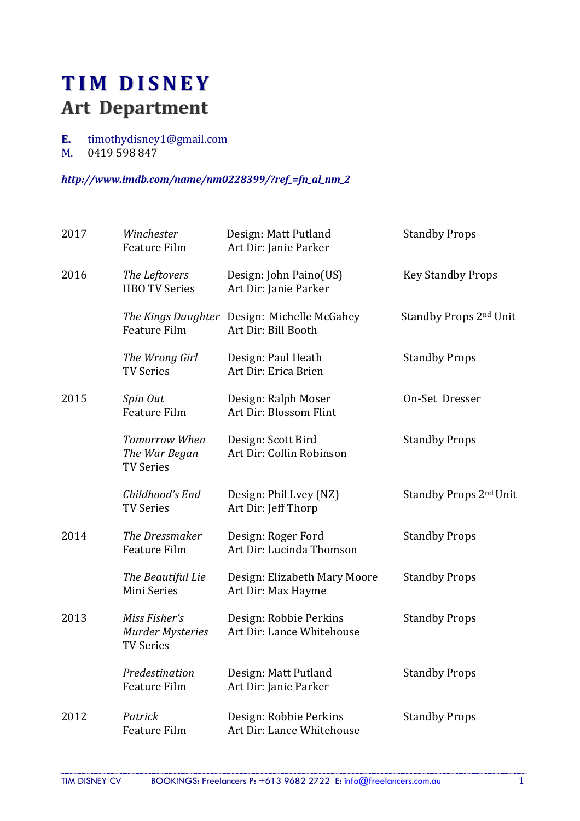## TIM DISNEY Art Department

- E. timothydisney1@gmail.com<br>M. 0419 598 847
- 0419 598 847

## http://www.imdb.com/name/nm0228399/?ref =fn\_al\_nm\_2

| 2017 | Winchester<br><b>Feature Film</b>                            | Design: Matt Putland<br>Art Dir: Janie Parker                      | <b>Standby Props</b>               |
|------|--------------------------------------------------------------|--------------------------------------------------------------------|------------------------------------|
| 2016 | The Leftovers<br><b>HBO TV Series</b>                        | Design: John Paino(US)<br>Art Dir: Janie Parker                    | <b>Key Standby Props</b>           |
|      | Feature Film                                                 | The Kings Daughter Design: Michelle McGahey<br>Art Dir: Bill Booth | Standby Props 2 <sup>nd</sup> Unit |
|      | The Wrong Girl<br><b>TV Series</b>                           | Design: Paul Heath<br>Art Dir: Erica Brien                         | <b>Standby Props</b>               |
| 2015 | Spin Out<br><b>Feature Film</b>                              | Design: Ralph Moser<br>Art Dir: Blossom Flint                      | On-Set Dresser                     |
|      | <b>Tomorrow When</b><br>The War Began<br><b>TV Series</b>    | Design: Scott Bird<br>Art Dir: Collin Robinson                     | <b>Standby Props</b>               |
|      | Childhood's End<br><b>TV Series</b>                          | Design: Phil Lvey (NZ)<br>Art Dir: Jeff Thorp                      | Standby Props 2nd Unit             |
| 2014 | The Dressmaker<br><b>Feature Film</b>                        | Design: Roger Ford<br>Art Dir: Lucinda Thomson                     | <b>Standby Props</b>               |
|      | The Beautiful Lie<br>Mini Series                             | Design: Elizabeth Mary Moore<br>Art Dir: Max Hayme                 | <b>Standby Props</b>               |
| 2013 | Miss Fisher's<br><b>Murder Mysteries</b><br><b>TV Series</b> | Design: Robbie Perkins<br>Art Dir: Lance Whitehouse                | <b>Standby Props</b>               |
|      | Predestination<br><b>Feature Film</b>                        | Design: Matt Putland<br>Art Dir: Janie Parker                      | <b>Standby Props</b>               |
| 2012 | Patrick<br><b>Feature Film</b>                               | Design: Robbie Perkins<br>Art Dir: Lance Whitehouse                | <b>Standby Props</b>               |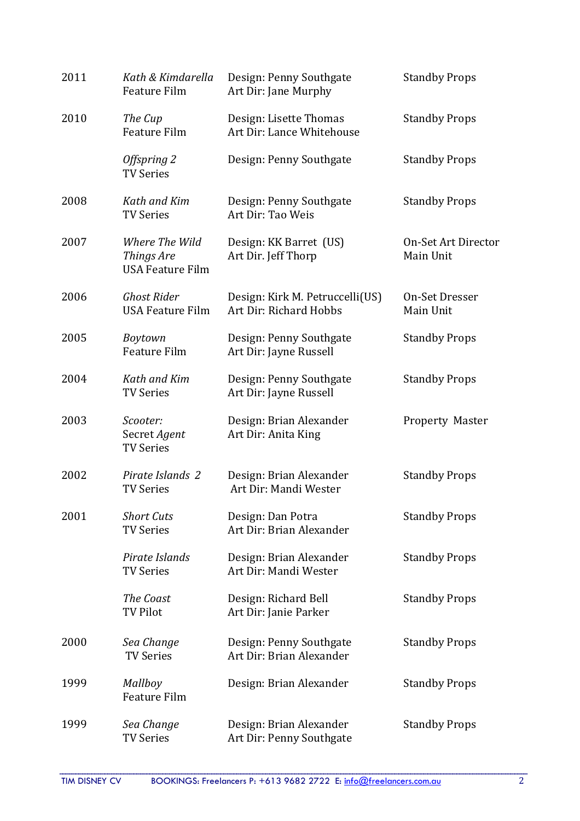| 2011 | Kath & Kimdarella<br>Feature Film                       | Design: Penny Southgate<br>Art Dir: Jane Murphy           | <b>Standby Props</b>             |
|------|---------------------------------------------------------|-----------------------------------------------------------|----------------------------------|
| 2010 | The Cup<br><b>Feature Film</b>                          | Design: Lisette Thomas<br>Art Dir: Lance Whitehouse       | <b>Standby Props</b>             |
|      | Offspring 2<br><b>TV Series</b>                         | Design: Penny Southgate                                   | <b>Standby Props</b>             |
| 2008 | Kath and Kim<br><b>TV Series</b>                        | Design: Penny Southgate<br>Art Dir: Tao Weis              | <b>Standby Props</b>             |
| 2007 | Where The Wild<br>Things Are<br><b>USA Feature Film</b> | Design: KK Barret (US)<br>Art Dir. Jeff Thorp             | On-Set Art Director<br>Main Unit |
| 2006 | <b>Ghost Rider</b><br><b>USA Feature Film</b>           | Design: Kirk M. Petruccelli(US)<br>Art Dir: Richard Hobbs | On-Set Dresser<br>Main Unit      |
| 2005 | Boytown<br>Feature Film                                 | Design: Penny Southgate<br>Art Dir: Jayne Russell         | <b>Standby Props</b>             |
| 2004 | Kath and Kim<br><b>TV Series</b>                        | Design: Penny Southgate<br>Art Dir: Jayne Russell         | <b>Standby Props</b>             |
| 2003 | Scooter:<br>Secret Agent<br><b>TV Series</b>            | Design: Brian Alexander<br>Art Dir: Anita King            | Property Master                  |
| 2002 | Pirate Islands 2<br><b>TV Series</b>                    | Design: Brian Alexander<br>Art Dir: Mandi Wester          | <b>Standby Props</b>             |
| 2001 | <b>Short Cuts</b><br><b>TV Series</b>                   | Design: Dan Potra<br>Art Dir: Brian Alexander             | <b>Standby Props</b>             |
|      | Pirate Islands<br><b>TV Series</b>                      | Design: Brian Alexander<br>Art Dir: Mandi Wester          | <b>Standby Props</b>             |
|      | The Coast<br><b>TV Pilot</b>                            | Design: Richard Bell<br>Art Dir: Janie Parker             | <b>Standby Props</b>             |
| 2000 | Sea Change<br><b>TV Series</b>                          | Design: Penny Southgate<br>Art Dir: Brian Alexander       | <b>Standby Props</b>             |
| 1999 | Mallboy<br><b>Feature Film</b>                          | Design: Brian Alexander                                   | <b>Standby Props</b>             |
| 1999 | Sea Change<br><b>TV Series</b>                          | Design: Brian Alexander<br>Art Dir: Penny Southgate       | <b>Standby Props</b>             |